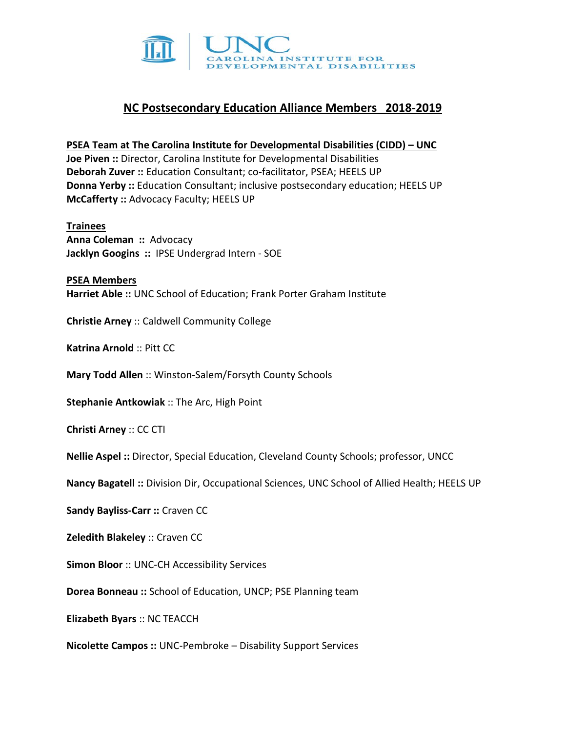

## **NC Postsecondary Education Alliance Members 2018-2019**

**PSEA Team at The Carolina Institute for Developmental Disabilities (CIDD) – UNC Joe Piven ::** Director, Carolina Institute for Developmental Disabilities **Deborah Zuver ::** Education Consultant; co-facilitator, PSEA; HEELS UP **Donna Yerby ::** Education Consultant; inclusive postsecondary education; HEELS UP **McCafferty ::** Advocacy Faculty; HEELS UP

## **Trainees**

**Anna Coleman ::** Advocacy **Jacklyn Googins ::** IPSE Undergrad Intern - SOE

**PSEA Members Harriet Able ::** UNC School of Education; Frank Porter Graham Institute

**Christie Arney** :: Caldwell Community College

**Katrina Arnold** :: Pitt CC

**Mary Todd Allen** :: Winston-Salem/Forsyth County Schools

**Stephanie Antkowiak** :: The Arc, High Point

**Christi Arney** :: CC CTI

**Nellie Aspel ::** Director, Special Education, Cleveland County Schools; professor, UNCC

**Nancy Bagatell ::** Division Dir, Occupational Sciences, UNC School of Allied Health; HEELS UP

**Sandy Bayliss-Carr ::** Craven CC

**Zeledith Blakeley** :: Craven CC

**Simon Bloor** :: UNC-CH Accessibility Services

**Dorea Bonneau ::** School of Education, UNCP; PSE Planning team

**Elizabeth Byars** :: NC TEACCH

**Nicolette Campos ::** UNC-Pembroke – Disability Support Services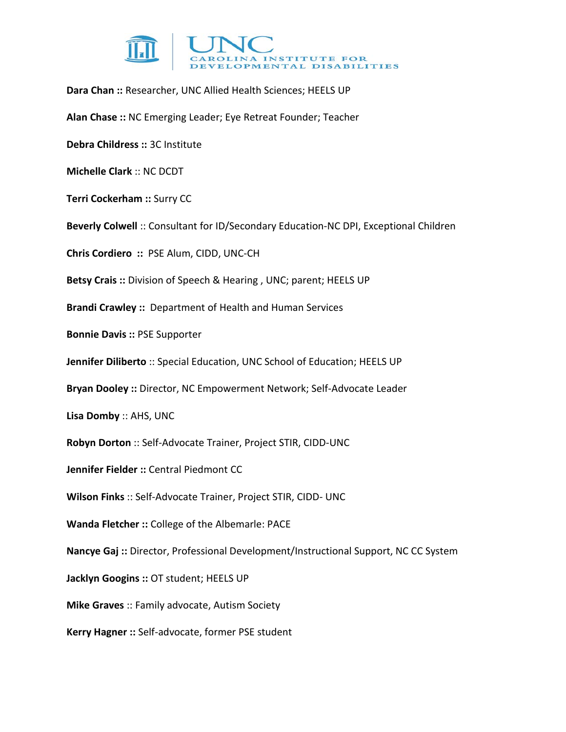

**Dara Chan ::** Researcher, UNC Allied Health Sciences; HEELS UP **Alan Chase ::** NC Emerging Leader; Eye Retreat Founder; Teacher **Debra Childress ::** 3C Institute **Michelle Clark** :: NC DCDT **Terri Cockerham ::** Surry CC **Beverly Colwell** :: Consultant for ID/Secondary Education-NC DPI, Exceptional Children **Chris Cordiero ::** PSE Alum, CIDD, UNC-CH **Betsy Crais ::** Division of Speech & Hearing , UNC; parent; HEELS UP **Brandi Crawley ::** Department of Health and Human Services **Bonnie Davis ::** PSE Supporter **Jennifer Diliberto** :: Special Education, UNC School of Education; HEELS UP **Bryan Dooley ::** Director, NC Empowerment Network; Self-Advocate Leader **Lisa Domby** :: AHS, UNC **Robyn Dorton** :: Self-Advocate Trainer, Project STIR, CIDD-UNC **Jennifer Fielder ::** Central Piedmont CC **Wilson Finks** :: Self-Advocate Trainer, Project STIR, CIDD- UNC **Wanda Fletcher ::** College of the Albemarle: PACE **Nancye Gaj ::** Director, Professional Development/Instructional Support, NC CC System **Jacklyn Googins ::** OT student; HEELS UP **Mike Graves** :: Family advocate, Autism Society **Kerry Hagner ::** Self-advocate, former PSE student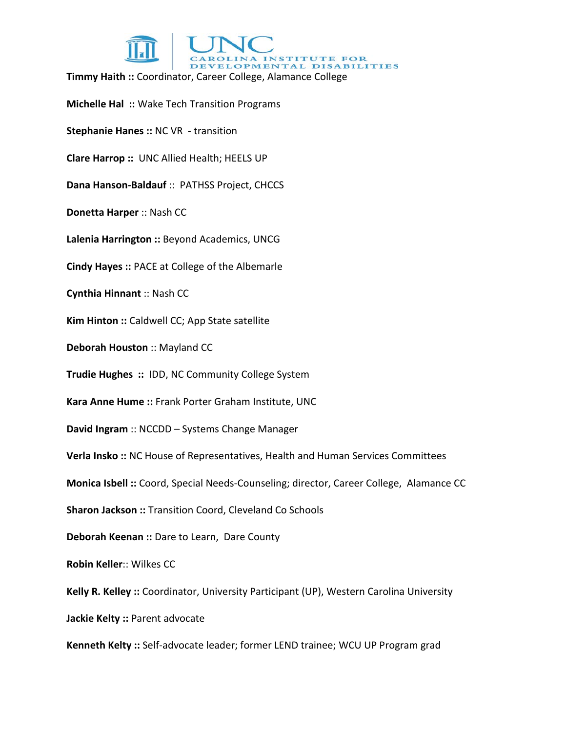

**Timmy Haith ::** Coordinator, Career College, Alamance College

**Michelle Hal ::** Wake Tech Transition Programs

**Stephanie Hanes ::** NC VR - transition

**Clare Harrop ::** UNC Allied Health; HEELS UP

**Dana Hanson-Baldauf** :: PATHSS Project, CHCCS

**Donetta Harper** :: Nash CC

**Lalenia Harrington ::** Beyond Academics, UNCG

**Cindy Hayes ::** PACE at College of the Albemarle

**Cynthia Hinnant** :: Nash CC

**Kim Hinton ::** Caldwell CC; App State satellite

**Deborah Houston** :: Mayland CC

**Trudie Hughes ::** IDD, NC Community College System

**Kara Anne Hume ::** Frank Porter Graham Institute, UNC

**David Ingram** :: NCCDD – Systems Change Manager

**Verla Insko ::** NC House of Representatives, Health and Human Services Committees

**Monica Isbell ::** Coord, Special Needs-Counseling; director, Career College, Alamance CC

**Sharon Jackson ::** Transition Coord, Cleveland Co Schools

**Deborah Keenan ::** Dare to Learn, Dare County

**Robin Keller**:: Wilkes CC

**Kelly R. Kelley ::** Coordinator, University Participant (UP), Western Carolina University

**Jackie Kelty ::** Parent advocate

**Kenneth Kelty ::** Self-advocate leader; former LEND trainee; WCU UP Program grad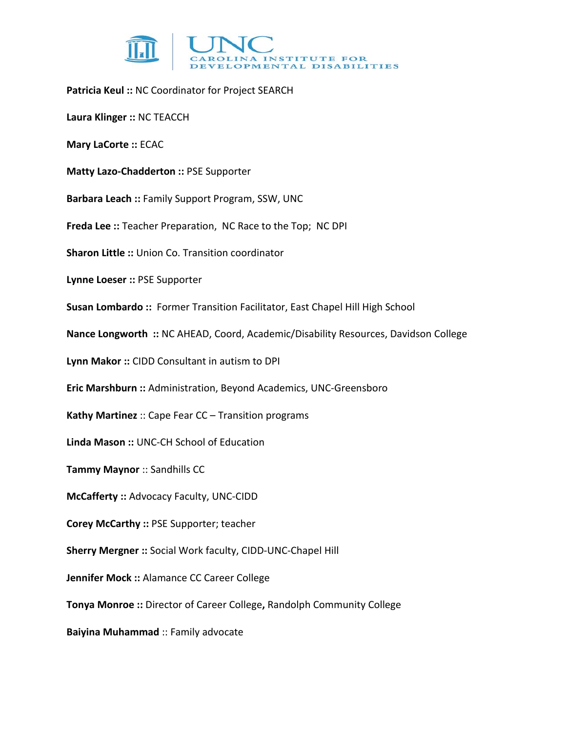

**Patricia Keul ::** NC Coordinator for Project SEARCH

**Laura Klinger ::** NC TEACCH

**Mary LaCorte ::** ECAC

**Matty Lazo-Chadderton ::** PSE Supporter

**Barbara Leach ::** Family Support Program, SSW, UNC

**Freda Lee ::** Teacher Preparation, NC Race to the Top; NC DPI

**Sharon Little ::** Union Co. Transition coordinator

**Lynne Loeser ::** PSE Supporter

**Susan Lombardo ::** Former Transition Facilitator, East Chapel Hill High School

**Nance Longworth ::** NC AHEAD, Coord, Academic/Disability Resources, Davidson College

**Lynn Makor ::** CIDD Consultant in autism to DPI

**Eric Marshburn ::** Administration, Beyond Academics, UNC-Greensboro

**Kathy Martinez** :: Cape Fear CC – Transition programs

**Linda Mason ::** UNC-CH School of Education

**Tammy Maynor** :: Sandhills CC

**McCafferty ::** Advocacy Faculty, UNC-CIDD

**Corey McCarthy ::** PSE Supporter; teacher

**Sherry Mergner ::** Social Work faculty, CIDD-UNC-Chapel Hill

**Jennifer Mock ::** Alamance CC Career College

**Tonya Monroe ::** Director of Career College**,** Randolph Community College

**Baiyina Muhammad** :: Family advocate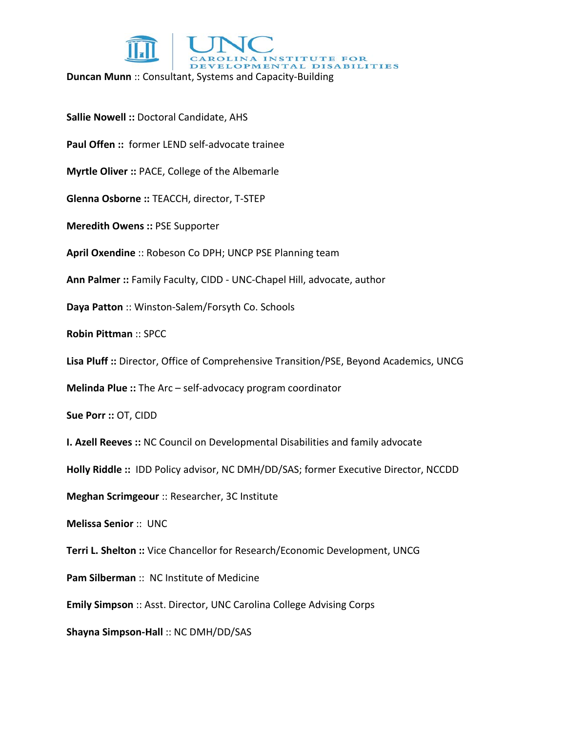

**Duncan Munn** :: Consultant, Systems and Capacity-Building

**Sallie Nowell ::** Doctoral Candidate, AHS **Paul Offen ::** former LEND self-advocate trainee **Myrtle Oliver ::** PACE, College of the Albemarle **Glenna Osborne ::** TEACCH, director, T-STEP **Meredith Owens ::** PSE Supporter **April Oxendine** :: Robeson Co DPH; UNCP PSE Planning team **Ann Palmer ::** Family Faculty, CIDD - UNC-Chapel Hill, advocate, author **Daya Patton** :: Winston-Salem/Forsyth Co. Schools **Robin Pittman** :: SPCC **Lisa Pluff ::** Director, Office of Comprehensive Transition/PSE, Beyond Academics, UNCG **Melinda Plue ::** The Arc – self-advocacy program coordinator **Sue Porr ::** OT, CIDD **I. Azell Reeves ::** NC Council on Developmental Disabilities and family advocate **Holly Riddle ::** IDD Policy advisor, NC DMH/DD/SAS; former Executive Director, NCCDD **Meghan Scrimgeour** :: Researcher, 3C Institute **Melissa Senior** :: UNC **Terri L. Shelton ::** Vice Chancellor for Research/Economic Development, UNCG **Pam Silberman** :: NC Institute of Medicine **Emily Simpson** :: Asst. Director, UNC Carolina College Advising Corps **Shayna Simpson-Hall** :: NC DMH/DD/SAS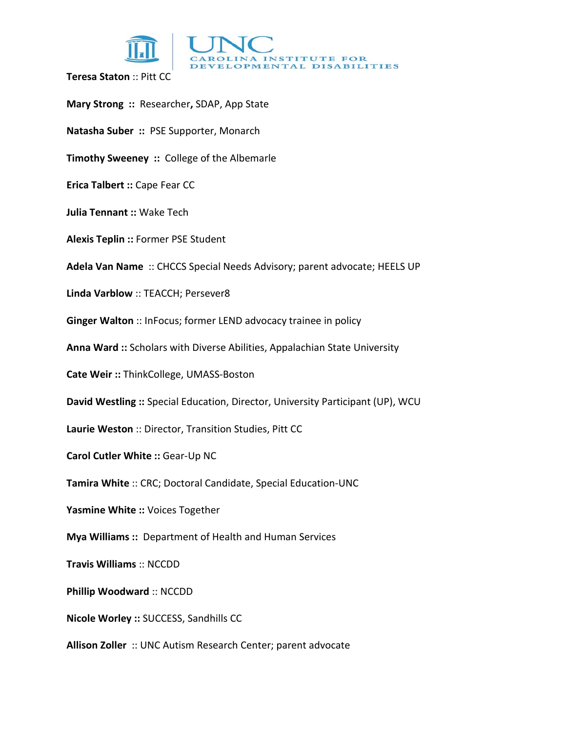



**Teresa Staton** :: Pitt CC **Mary Strong ::** Researcher**,** SDAP, App State **Natasha Suber ::** PSE Supporter, Monarch **Timothy Sweeney ::** College of the Albemarle **Erica Talbert ::** Cape Fear CC **Julia Tennant ::** Wake Tech **Alexis Teplin ::** Former PSE Student **Adela Van Name** :: CHCCS Special Needs Advisory; parent advocate; HEELS UP **Linda Varblow** :: TEACCH; Persever8 **Ginger Walton** :: InFocus; former LEND advocacy trainee in policy **Anna Ward ::** Scholars with Diverse Abilities, Appalachian State University **Cate Weir ::** ThinkCollege, UMASS-Boston **David Westling ::** Special Education, Director, University Participant (UP), WCU **Laurie Weston** :: Director, Transition Studies, Pitt CC **Carol Cutler White ::** Gear-Up NC **Tamira White** :: CRC; Doctoral Candidate, Special Education-UNC **Yasmine White ::** Voices Together **Mya Williams ::** Department of Health and Human Services **Travis Williams** :: NCCDD **Phillip Woodward** :: NCCDD **Nicole Worley ::** SUCCESS, Sandhills CC **Allison Zoller** :: UNC Autism Research Center; parent advocate